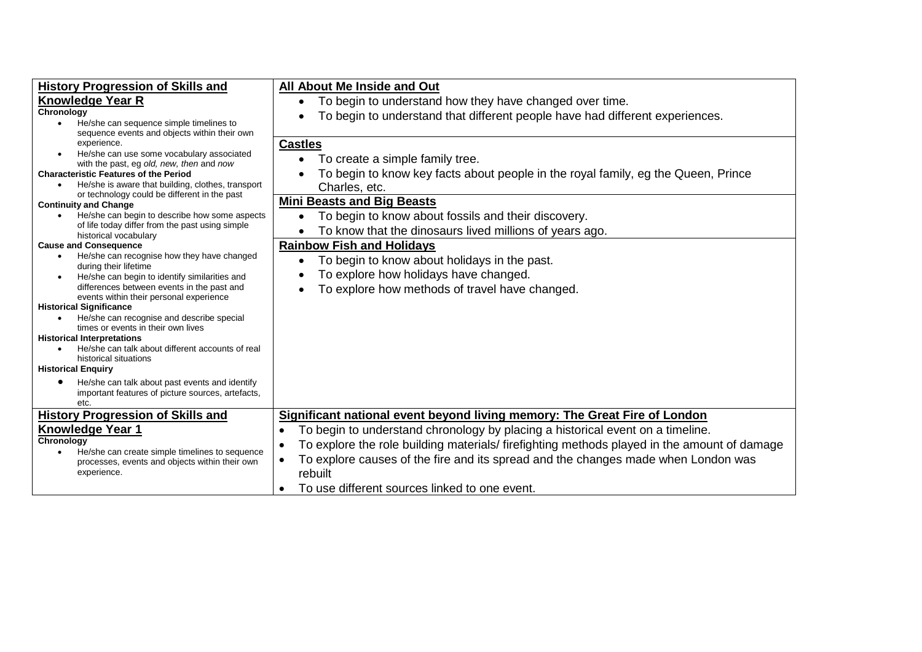| <b>History Progression of Skills and</b><br><b>Knowledge Year R</b><br>Chronology<br>He/she can sequence simple timelines to<br>$\bullet$                                                                                                                                                                                                                                                                                                                                                                                                                                                                                                                                            | All About Me Inside and Out<br>To begin to understand how they have changed over time.<br>To begin to understand that different people have had different experiences.                                                                                                                                                                                                                                                                                  |
|--------------------------------------------------------------------------------------------------------------------------------------------------------------------------------------------------------------------------------------------------------------------------------------------------------------------------------------------------------------------------------------------------------------------------------------------------------------------------------------------------------------------------------------------------------------------------------------------------------------------------------------------------------------------------------------|---------------------------------------------------------------------------------------------------------------------------------------------------------------------------------------------------------------------------------------------------------------------------------------------------------------------------------------------------------------------------------------------------------------------------------------------------------|
| sequence events and objects within their own<br>experience.<br>He/she can use some vocabulary associated<br>with the past, eg old, new, then and now<br><b>Characteristic Features of the Period</b><br>He/she is aware that building, clothes, transport<br>$\bullet$<br>or technology could be different in the past<br><b>Continuity and Change</b>                                                                                                                                                                                                                                                                                                                               | <b>Castles</b><br>To create a simple family tree.<br>To begin to know key facts about people in the royal family, eg the Queen, Prince<br>Charles, etc.<br><b>Mini Beasts and Big Beasts</b>                                                                                                                                                                                                                                                            |
| He/she can begin to describe how some aspects<br>of life today differ from the past using simple<br>historical vocabulary                                                                                                                                                                                                                                                                                                                                                                                                                                                                                                                                                            | To begin to know about fossils and their discovery.<br>$\bullet$<br>To know that the dinosaurs lived millions of years ago.                                                                                                                                                                                                                                                                                                                             |
| <b>Cause and Consequence</b><br>He/she can recognise how they have changed<br>$\bullet$<br>during their lifetime<br>He/she can begin to identify similarities and<br>$\bullet$<br>differences between events in the past and<br>events within their personal experience<br><b>Historical Significance</b><br>He/she can recognise and describe special<br>$\bullet$<br>times or events in their own lives<br><b>Historical Interpretations</b><br>He/she can talk about different accounts of real<br>$\bullet$<br>historical situations<br><b>Historical Enquiry</b><br>He/she can talk about past events and identify<br>important features of picture sources, artefacts,<br>etc. | <b>Rainbow Fish and Holidays</b><br>To begin to know about holidays in the past.<br>$\bullet$<br>To explore how holidays have changed.<br>To explore how methods of travel have changed.                                                                                                                                                                                                                                                                |
| <b>History Progression of Skills and</b><br><b>Knowledge Year 1</b><br>Chronology<br>He/she can create simple timelines to sequence<br>$\bullet$<br>processes, events and objects within their own<br>experience.                                                                                                                                                                                                                                                                                                                                                                                                                                                                    | Significant national event beyond living memory: The Great Fire of London<br>To begin to understand chronology by placing a historical event on a timeline.<br>٠<br>To explore the role building materials/ firefighting methods played in the amount of damage<br>$\bullet$<br>To explore causes of the fire and its spread and the changes made when London was<br>$\bullet$<br>rebuilt<br>To use different sources linked to one event.<br>$\bullet$ |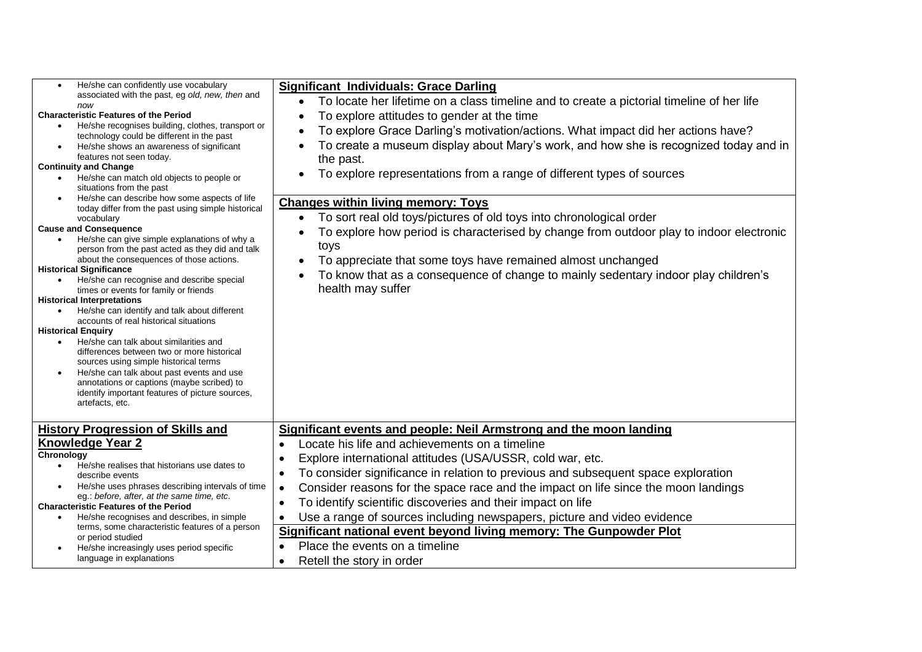| He/she can confidently use vocabulary<br>$\bullet$<br>associated with the past, eg old, new, then and<br>now<br><b>Characteristic Features of the Period</b><br>He/she recognises building, clothes, transport or<br>$\bullet$<br>technology could be different in the past<br>He/she shows an awareness of significant<br>$\bullet$<br>features not seen today.<br><b>Continuity and Change</b><br>He/she can match old objects to people or<br>$\bullet$<br>situations from the past<br>He/she can describe how some aspects of life<br>$\bullet$<br>today differ from the past using simple historical<br>vocabulary<br><b>Cause and Consequence</b><br>He/she can give simple explanations of why a<br>$\bullet$<br>person from the past acted as they did and talk<br>about the consequences of those actions.<br><b>Historical Significance</b><br>He/she can recognise and describe special<br>$\bullet$<br>times or events for family or friends<br><b>Historical Interpretations</b><br>He/she can identify and talk about different<br>$\bullet$<br>accounts of real historical situations<br><b>Historical Enquiry</b><br>He/she can talk about similarities and<br>$\bullet$<br>differences between two or more historical<br>sources using simple historical terms<br>He/she can talk about past events and use<br>$\bullet$<br>annotations or captions (maybe scribed) to<br>identify important features of picture sources,<br>artefacts, etc. | <b>Significant Individuals: Grace Darling</b><br>To locate her lifetime on a class timeline and to create a pictorial timeline of her life<br>$\bullet$<br>To explore attitudes to gender at the time<br>To explore Grace Darling's motivation/actions. What impact did her actions have?<br>To create a museum display about Mary's work, and how she is recognized today and in<br>the past.<br>To explore representations from a range of different types of sources<br><b>Changes within living memory: Toys</b><br>To sort real old toys/pictures of old toys into chronological order<br>To explore how period is characterised by change from outdoor play to indoor electronic<br>toys<br>To appreciate that some toys have remained almost unchanged<br>To know that as a consequence of change to mainly sedentary indoor play children's<br>health may suffer |
|---------------------------------------------------------------------------------------------------------------------------------------------------------------------------------------------------------------------------------------------------------------------------------------------------------------------------------------------------------------------------------------------------------------------------------------------------------------------------------------------------------------------------------------------------------------------------------------------------------------------------------------------------------------------------------------------------------------------------------------------------------------------------------------------------------------------------------------------------------------------------------------------------------------------------------------------------------------------------------------------------------------------------------------------------------------------------------------------------------------------------------------------------------------------------------------------------------------------------------------------------------------------------------------------------------------------------------------------------------------------------------------------------------------------------------------------------------------|--------------------------------------------------------------------------------------------------------------------------------------------------------------------------------------------------------------------------------------------------------------------------------------------------------------------------------------------------------------------------------------------------------------------------------------------------------------------------------------------------------------------------------------------------------------------------------------------------------------------------------------------------------------------------------------------------------------------------------------------------------------------------------------------------------------------------------------------------------------------------|
| <b>History Progression of Skills and</b><br><b>Knowledge Year 2</b><br>Chronology<br>He/she realises that historians use dates to<br>$\bullet$<br>describe events<br>He/she uses phrases describing intervals of time<br>$\bullet$<br>eg.: before, after, at the same time, etc.<br><b>Characteristic Features of the Period</b><br>He/she recognises and describes, in simple<br>$\bullet$<br>terms, some characteristic features of a person<br>or period studied<br>He/she increasingly uses period specific<br>language in explanations                                                                                                                                                                                                                                                                                                                                                                                                                                                                                                                                                                                                                                                                                                                                                                                                                                                                                                                   | Significant events and people: Neil Armstrong and the moon landing<br>Locate his life and achievements on a timeline<br>$\bullet$<br>Explore international attitudes (USA/USSR, cold war, etc.<br>$\bullet$<br>To consider significance in relation to previous and subsequent space exploration<br>$\bullet$<br>Consider reasons for the space race and the impact on life since the moon landings<br>$\bullet$<br>To identify scientific discoveries and their impact on life<br>$\bullet$<br>Use a range of sources including newspapers, picture and video evidence<br>$\bullet$<br>Significant national event beyond living memory: The Gunpowder Plot<br>Place the events on a timeline<br>Retell the story in order<br>$\bullet$                                                                                                                                  |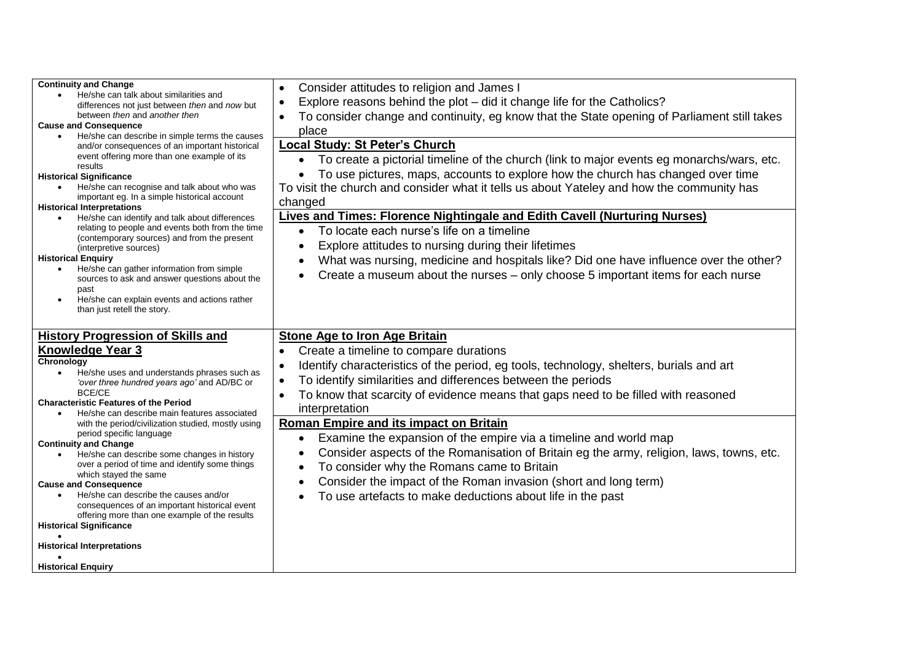| <b>Continuity and Change</b>                                                                              | Consider attitudes to religion and James I                                                               |  |  |  |
|-----------------------------------------------------------------------------------------------------------|----------------------------------------------------------------------------------------------------------|--|--|--|
| He/she can talk about similarities and                                                                    | Explore reasons behind the plot - did it change life for the Catholics?<br>$\bullet$                     |  |  |  |
| differences not just between then and now but<br>between then and another then                            | To consider change and continuity, eg know that the State opening of Parliament still takes<br>$\bullet$ |  |  |  |
| <b>Cause and Consequence</b>                                                                              |                                                                                                          |  |  |  |
| He/she can describe in simple terms the causes<br>$\bullet$                                               | place                                                                                                    |  |  |  |
| and/or consequences of an important historical                                                            | <b>Local Study: St Peter's Church</b>                                                                    |  |  |  |
| event offering more than one example of its                                                               | To create a pictorial timeline of the church (link to major events eg monarchs/wars, etc.<br>$\bullet$   |  |  |  |
| results<br><b>Historical Significance</b>                                                                 | To use pictures, maps, accounts to explore how the church has changed over time                          |  |  |  |
| He/she can recognise and talk about who was                                                               |                                                                                                          |  |  |  |
| important eg. In a simple historical account                                                              | To visit the church and consider what it tells us about Yateley and how the community has                |  |  |  |
| <b>Historical Interpretations</b>                                                                         | changed                                                                                                  |  |  |  |
| He/she can identify and talk about differences                                                            | <b>Lives and Times: Florence Nightingale and Edith Cavell (Nurturing Nurses)</b>                         |  |  |  |
| relating to people and events both from the time                                                          | To locate each nurse's life on a timeline<br>$\bullet$                                                   |  |  |  |
| (contemporary sources) and from the present                                                               | Explore attitudes to nursing during their lifetimes                                                      |  |  |  |
| (interpretive sources)<br><b>Historical Enquiry</b>                                                       |                                                                                                          |  |  |  |
| He/she can gather information from simple<br>$\bullet$                                                    | What was nursing, medicine and hospitals like? Did one have influence over the other?                    |  |  |  |
| sources to ask and answer questions about the                                                             | Create a museum about the nurses – only choose 5 important items for each nurse                          |  |  |  |
| past                                                                                                      |                                                                                                          |  |  |  |
| He/she can explain events and actions rather<br>$\bullet$                                                 |                                                                                                          |  |  |  |
| than just retell the story.                                                                               |                                                                                                          |  |  |  |
|                                                                                                           |                                                                                                          |  |  |  |
|                                                                                                           |                                                                                                          |  |  |  |
| <b>History Progression of Skills and</b>                                                                  | <b>Stone Age to Iron Age Britain</b>                                                                     |  |  |  |
| <b>Knowledge Year 3</b>                                                                                   | Create a timeline to compare durations                                                                   |  |  |  |
| Chronology                                                                                                |                                                                                                          |  |  |  |
| He/she uses and understands phrases such as                                                               | Identify characteristics of the period, eg tools, technology, shelters, burials and art                  |  |  |  |
| 'over three hundred years ago' and AD/BC or                                                               | To identify similarities and differences between the periods<br>$\bullet$                                |  |  |  |
| <b>BCE/CE</b>                                                                                             | To know that scarcity of evidence means that gaps need to be filled with reasoned                        |  |  |  |
| <b>Characteristic Features of the Period</b><br>He/she can describe main features associated<br>$\bullet$ | interpretation                                                                                           |  |  |  |
| with the period/civilization studied, mostly using                                                        | Roman Empire and its impact on Britain                                                                   |  |  |  |
| period specific language                                                                                  | $\bullet$                                                                                                |  |  |  |
| <b>Continuity and Change</b>                                                                              | Examine the expansion of the empire via a timeline and world map                                         |  |  |  |
| He/she can describe some changes in history                                                               | Consider aspects of the Romanisation of Britain eg the army, religion, laws, towns, etc.                 |  |  |  |
| over a period of time and identify some things                                                            | To consider why the Romans came to Britain                                                               |  |  |  |
| which stayed the same<br><b>Cause and Consequence</b>                                                     | Consider the impact of the Roman invasion (short and long term)                                          |  |  |  |
| He/she can describe the causes and/or<br>$\bullet$                                                        | To use artefacts to make deductions about life in the past                                               |  |  |  |
| consequences of an important historical event                                                             |                                                                                                          |  |  |  |
| offering more than one example of the results                                                             |                                                                                                          |  |  |  |
| <b>Historical Significance</b>                                                                            |                                                                                                          |  |  |  |
| <b>Historical Interpretations</b>                                                                         |                                                                                                          |  |  |  |
| <b>Historical Enquiry</b>                                                                                 |                                                                                                          |  |  |  |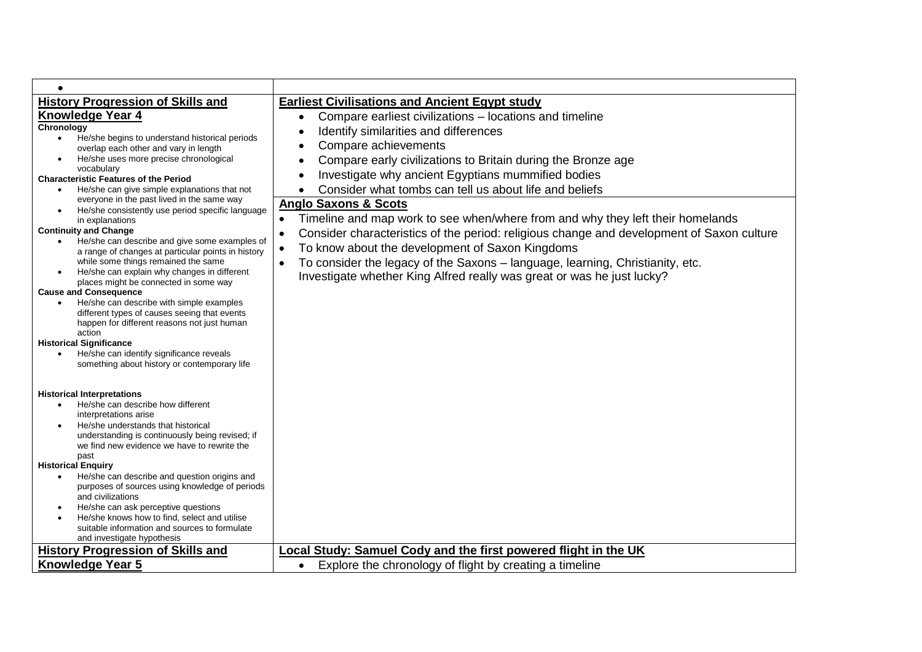| $\bullet$                                                                                                     |                                                                                                        |
|---------------------------------------------------------------------------------------------------------------|--------------------------------------------------------------------------------------------------------|
| <b>History Progression of Skills and</b>                                                                      | <b>Earliest Civilisations and Ancient Egypt study</b>                                                  |
| <b>Knowledge Year 4</b>                                                                                       | Compare earliest civilizations - locations and timeline<br>$\bullet$                                   |
| Chronology                                                                                                    | Identify similarities and differences                                                                  |
| He/she begins to understand historical periods<br>$\bullet$                                                   | Compare achievements                                                                                   |
| overlap each other and vary in length<br>He/she uses more precise chronological                               | Compare early civilizations to Britain during the Bronze age                                           |
| vocabulary                                                                                                    |                                                                                                        |
| <b>Characteristic Features of the Period</b>                                                                  | Investigate why ancient Egyptians mummified bodies                                                     |
| He/she can give simple explanations that not<br>$\bullet$<br>everyone in the past lived in the same way       | Consider what tombs can tell us about life and beliefs                                                 |
| He/she consistently use period specific language                                                              | <b>Anglo Saxons &amp; Scots</b>                                                                        |
| in explanations                                                                                               | Timeline and map work to see when/where from and why they left their homelands<br>$\bullet$            |
| <b>Continuity and Change</b>                                                                                  | Consider characteristics of the period: religious change and development of Saxon culture<br>$\bullet$ |
| He/she can describe and give some examples of<br>a range of changes at particular points in history           | To know about the development of Saxon Kingdoms<br>$\bullet$                                           |
| while some things remained the same                                                                           | To consider the legacy of the Saxons - language, learning, Christianity, etc.<br>$\bullet$             |
| He/she can explain why changes in different<br>$\bullet$                                                      | Investigate whether King Alfred really was great or was he just lucky?                                 |
| places might be connected in some way<br><b>Cause and Consequence</b>                                         |                                                                                                        |
| He/she can describe with simple examples                                                                      |                                                                                                        |
| different types of causes seeing that events                                                                  |                                                                                                        |
| happen for different reasons not just human<br>action                                                         |                                                                                                        |
| <b>Historical Significance</b>                                                                                |                                                                                                        |
| He/she can identify significance reveals<br>$\bullet$                                                         |                                                                                                        |
| something about history or contemporary life                                                                  |                                                                                                        |
|                                                                                                               |                                                                                                        |
| <b>Historical Interpretations</b>                                                                             |                                                                                                        |
| He/she can describe how different<br>$\bullet$                                                                |                                                                                                        |
| interpretations arise<br>He/she understands that historical                                                   |                                                                                                        |
| $\bullet$<br>understanding is continuously being revised; if                                                  |                                                                                                        |
| we find new evidence we have to rewrite the                                                                   |                                                                                                        |
| past                                                                                                          |                                                                                                        |
| <b>Historical Enquiry</b><br>He/she can describe and question origins and<br>$\bullet$                        |                                                                                                        |
| purposes of sources using knowledge of periods                                                                |                                                                                                        |
| and civilizations                                                                                             |                                                                                                        |
| He/she can ask perceptive questions<br>$\bullet$<br>He/she knows how to find, select and utilise<br>$\bullet$ |                                                                                                        |
| suitable information and sources to formulate                                                                 |                                                                                                        |
| and investigate hypothesis                                                                                    |                                                                                                        |
| <b>History Progression of Skills and</b>                                                                      | Local Study: Samuel Cody and the first powered flight in the UK                                        |
| <b>Knowledge Year 5</b>                                                                                       | Explore the chronology of flight by creating a timeline<br>$\bullet$                                   |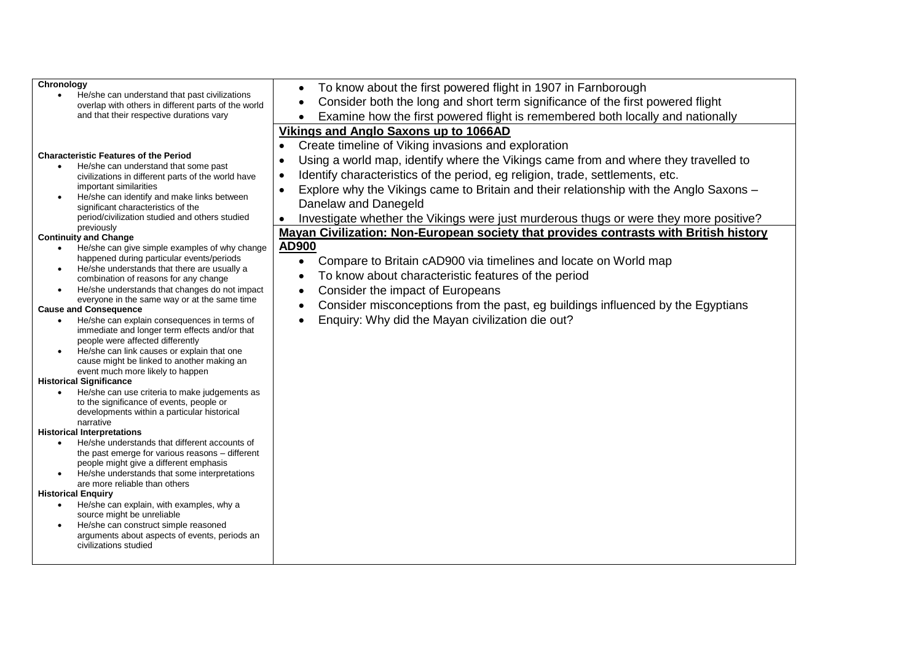| Chronology                                                                                                        | To know about the first powered flight in 1907 in Farnborough<br>$\bullet$                          |  |  |  |  |
|-------------------------------------------------------------------------------------------------------------------|-----------------------------------------------------------------------------------------------------|--|--|--|--|
| He/she can understand that past civilizations<br>$\bullet$<br>overlap with others in different parts of the world | Consider both the long and short term significance of the first powered flight<br>$\bullet$         |  |  |  |  |
| and that their respective durations vary                                                                          | Examine how the first powered flight is remembered both locally and nationally                      |  |  |  |  |
|                                                                                                                   | Vikings and Anglo Saxons up to 1066AD                                                               |  |  |  |  |
|                                                                                                                   |                                                                                                     |  |  |  |  |
| <b>Characteristic Features of the Period</b>                                                                      | Create timeline of Viking invasions and exploration<br>$\bullet$                                    |  |  |  |  |
| He/she can understand that some past<br>$\bullet$                                                                 | Using a world map, identify where the Vikings came from and where they travelled to<br>$\bullet$    |  |  |  |  |
| civilizations in different parts of the world have                                                                | Identify characteristics of the period, eg religion, trade, settlements, etc.<br>$\bullet$          |  |  |  |  |
| important similarities                                                                                            | Explore why the Vikings came to Britain and their relationship with the Anglo Saxons -<br>$\bullet$ |  |  |  |  |
| He/she can identify and make links between<br>$\bullet$<br>significant characteristics of the                     | Danelaw and Danegeld                                                                                |  |  |  |  |
| period/civilization studied and others studied                                                                    | Investigate whether the Vikings were just murderous thugs or were they more positive?<br>$\bullet$  |  |  |  |  |
| previously                                                                                                        | Mayan Civilization: Non-European society that provides contrasts with British history               |  |  |  |  |
| <b>Continuity and Change</b>                                                                                      |                                                                                                     |  |  |  |  |
| He/she can give simple examples of why change<br>$\bullet$<br>happened during particular events/periods           | AD900                                                                                               |  |  |  |  |
| He/she understands that there are usually a<br>$\bullet$                                                          | Compare to Britain cAD900 via timelines and locate on World map<br>$\bullet$                        |  |  |  |  |
| combination of reasons for any change                                                                             | To know about characteristic features of the period<br>$\bullet$                                    |  |  |  |  |
| He/she understands that changes do not impact<br>$\bullet$                                                        | Consider the impact of Europeans<br>$\bullet$                                                       |  |  |  |  |
| everyone in the same way or at the same time                                                                      | Consider misconceptions from the past, eg buildings influenced by the Egyptians<br>$\bullet$        |  |  |  |  |
| <b>Cause and Consequence</b><br>He/she can explain consequences in terms of<br>$\bullet$                          | Enquiry: Why did the Mayan civilization die out?                                                    |  |  |  |  |
| immediate and longer term effects and/or that                                                                     |                                                                                                     |  |  |  |  |
| people were affected differently                                                                                  |                                                                                                     |  |  |  |  |
| He/she can link causes or explain that one<br>$\bullet$                                                           |                                                                                                     |  |  |  |  |
| cause might be linked to another making an<br>event much more likely to happen                                    |                                                                                                     |  |  |  |  |
| <b>Historical Significance</b>                                                                                    |                                                                                                     |  |  |  |  |
| He/she can use criteria to make judgements as<br>$\bullet$                                                        |                                                                                                     |  |  |  |  |
| to the significance of events, people or                                                                          |                                                                                                     |  |  |  |  |
| developments within a particular historical<br>narrative                                                          |                                                                                                     |  |  |  |  |
| <b>Historical Interpretations</b>                                                                                 |                                                                                                     |  |  |  |  |
| He/she understands that different accounts of<br>$\bullet$                                                        |                                                                                                     |  |  |  |  |
| the past emerge for various reasons – different                                                                   |                                                                                                     |  |  |  |  |
| people might give a different emphasis<br>He/she understands that some interpretations                            |                                                                                                     |  |  |  |  |
| $\bullet$<br>are more reliable than others                                                                        |                                                                                                     |  |  |  |  |
| <b>Historical Enquiry</b>                                                                                         |                                                                                                     |  |  |  |  |
| He/she can explain, with examples, why a<br>$\bullet$                                                             |                                                                                                     |  |  |  |  |
| source might be unreliable                                                                                        |                                                                                                     |  |  |  |  |
| He/she can construct simple reasoned<br>arguments about aspects of events, periods an                             |                                                                                                     |  |  |  |  |
| civilizations studied                                                                                             |                                                                                                     |  |  |  |  |
|                                                                                                                   |                                                                                                     |  |  |  |  |
|                                                                                                                   |                                                                                                     |  |  |  |  |
|                                                                                                                   |                                                                                                     |  |  |  |  |